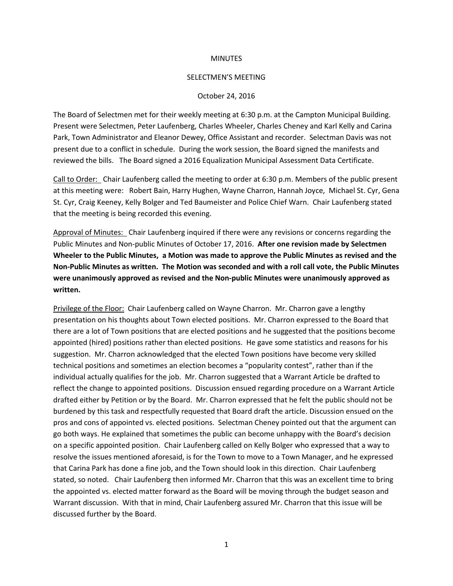### **MINUTES**

#### SELECTMEN'S MEETING

### October 24, 2016

The Board of Selectmen met for their weekly meeting at 6:30 p.m. at the Campton Municipal Building. Present were Selectmen, Peter Laufenberg, Charles Wheeler, Charles Cheney and Karl Kelly and Carina Park, Town Administrator and Eleanor Dewey, Office Assistant and recorder. Selectman Davis was not present due to a conflict in schedule. During the work session, the Board signed the manifests and reviewed the bills. The Board signed a 2016 Equalization Municipal Assessment Data Certificate.

Call to Order: Chair Laufenberg called the meeting to order at 6:30 p.m. Members of the public present at this meeting were: Robert Bain, Harry Hughen, Wayne Charron, Hannah Joyce, Michael St. Cyr, Gena St. Cyr, Craig Keeney, Kelly Bolger and Ted Baumeister and Police Chief Warn. Chair Laufenberg stated that the meeting is being recorded this evening.

Approval of Minutes: Chair Laufenberg inquired if there were any revisions or concerns regarding the Public Minutes and Non-public Minutes of October 17, 2016. **After one revision made by Selectmen Wheeler to the Public Minutes, a Motion was made to approve the Public Minutes as revised and the Non-Public Minutes as written. The Motion was seconded and with a roll call vote, the Public Minutes were unanimously approved as revised and the Non-public Minutes were unanimously approved as written.**

Privilege of the Floor: Chair Laufenberg called on Wayne Charron. Mr. Charron gave a lengthy presentation on his thoughts about Town elected positions. Mr. Charron expressed to the Board that there are a lot of Town positions that are elected positions and he suggested that the positions become appointed (hired) positions rather than elected positions. He gave some statistics and reasons for his suggestion. Mr. Charron acknowledged that the elected Town positions have become very skilled technical positions and sometimes an election becomes a "popularity contest", rather than if the individual actually qualifies for the job. Mr. Charron suggested that a Warrant Article be drafted to reflect the change to appointed positions. Discussion ensued regarding procedure on a Warrant Article drafted either by Petition or by the Board. Mr. Charron expressed that he felt the public should not be burdened by this task and respectfully requested that Board draft the article. Discussion ensued on the pros and cons of appointed vs. elected positions. Selectman Cheney pointed out that the argument can go both ways. He explained that sometimes the public can become unhappy with the Board's decision on a specific appointed position. Chair Laufenberg called on Kelly Bolger who expressed that a way to resolve the issues mentioned aforesaid, is for the Town to move to a Town Manager, and he expressed that Carina Park has done a fine job, and the Town should look in this direction. Chair Laufenberg stated, so noted. Chair Laufenberg then informed Mr. Charron that this was an excellent time to bring the appointed vs. elected matter forward as the Board will be moving through the budget season and Warrant discussion. With that in mind, Chair Laufenberg assured Mr. Charron that this issue will be discussed further by the Board.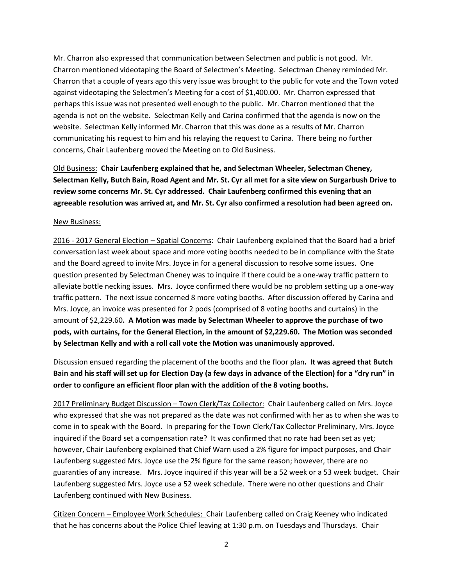Mr. Charron also expressed that communication between Selectmen and public is not good. Mr. Charron mentioned videotaping the Board of Selectmen's Meeting. Selectman Cheney reminded Mr. Charron that a couple of years ago this very issue was brought to the public for vote and the Town voted against videotaping the Selectmen's Meeting for a cost of \$1,400.00. Mr. Charron expressed that perhaps this issue was not presented well enough to the public. Mr. Charron mentioned that the agenda is not on the website. Selectman Kelly and Carina confirmed that the agenda is now on the website. Selectman Kelly informed Mr. Charron that this was done as a results of Mr. Charron communicating his request to him and his relaying the request to Carina. There being no further concerns, Chair Laufenberg moved the Meeting on to Old Business.

Old Business: **Chair Laufenberg explained that he, and Selectman Wheeler, Selectman Cheney, Selectman Kelly, Butch Bain, Road Agent and Mr. St. Cyr all met for a site view on Surgarbush Drive to review some concerns Mr. St. Cyr addressed. Chair Laufenberg confirmed this evening that an agreeable resolution was arrived at, and Mr. St. Cyr also confirmed a resolution had been agreed on.**

## New Business:

2016 - 2017 General Election – Spatial Concerns: Chair Laufenberg explained that the Board had a brief conversation last week about space and more voting booths needed to be in compliance with the State and the Board agreed to invite Mrs. Joyce in for a general discussion to resolve some issues. One question presented by Selectman Cheney was to inquire if there could be a one-way traffic pattern to alleviate bottle necking issues. Mrs. Joyce confirmed there would be no problem setting up a one-way traffic pattern. The next issue concerned 8 more voting booths. After discussion offered by Carina and Mrs. Joyce, an invoice was presented for 2 pods (comprised of 8 voting booths and curtains) in the amount of \$2,229.60**. A Motion was made by Selectman Wheeler to approve the purchase of two pods, with curtains, for the General Election, in the amount of \$2,229.60. The Motion was seconded by Selectman Kelly and with a roll call vote the Motion was unanimously approved.** 

Discussion ensued regarding the placement of the booths and the floor plan**. It was agreed that Butch Bain and his staff will set up for Election Day (a few days in advance of the Election) for a "dry run" in order to configure an efficient floor plan with the addition of the 8 voting booths.**

2017 Preliminary Budget Discussion – Town Clerk/Tax Collector: Chair Laufenberg called on Mrs. Joyce who expressed that she was not prepared as the date was not confirmed with her as to when she was to come in to speak with the Board. In preparing for the Town Clerk/Tax Collector Preliminary, Mrs. Joyce inquired if the Board set a compensation rate? It was confirmed that no rate had been set as yet; however, Chair Laufenberg explained that Chief Warn used a 2% figure for impact purposes, and Chair Laufenberg suggested Mrs. Joyce use the 2% figure for the same reason; however, there are no guaranties of any increase. Mrs. Joyce inquired if this year will be a 52 week or a 53 week budget. Chair Laufenberg suggested Mrs. Joyce use a 52 week schedule. There were no other questions and Chair Laufenberg continued with New Business.

Citizen Concern – Employee Work Schedules: Chair Laufenberg called on Craig Keeney who indicated that he has concerns about the Police Chief leaving at 1:30 p.m. on Tuesdays and Thursdays. Chair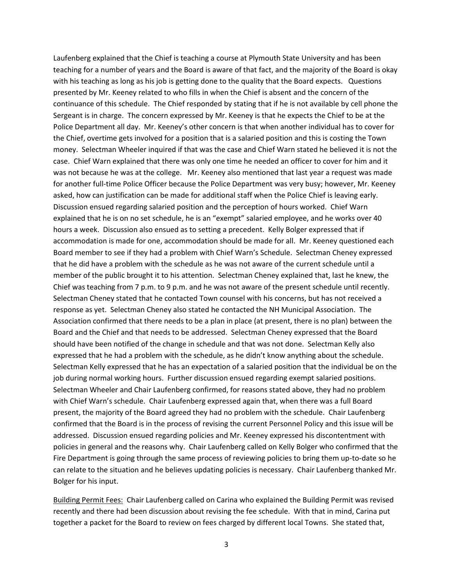Laufenberg explained that the Chief is teaching a course at Plymouth State University and has been teaching for a number of years and the Board is aware of that fact, and the majority of the Board is okay with his teaching as long as his job is getting done to the quality that the Board expects. Questions presented by Mr. Keeney related to who fills in when the Chief is absent and the concern of the continuance of this schedule. The Chief responded by stating that if he is not available by cell phone the Sergeant is in charge. The concern expressed by Mr. Keeney is that he expects the Chief to be at the Police Department all day. Mr. Keeney's other concern is that when another individual has to cover for the Chief, overtime gets involved for a position that is a salaried position and this is costing the Town money. Selectman Wheeler inquired if that was the case and Chief Warn stated he believed it is not the case. Chief Warn explained that there was only one time he needed an officer to cover for him and it was not because he was at the college. Mr. Keeney also mentioned that last year a request was made for another full-time Police Officer because the Police Department was very busy; however, Mr. Keeney asked, how can justification can be made for additional staff when the Police Chief is leaving early. Discussion ensued regarding salaried position and the perception of hours worked. Chief Warn explained that he is on no set schedule, he is an "exempt" salaried employee, and he works over 40 hours a week. Discussion also ensued as to setting a precedent. Kelly Bolger expressed that if accommodation is made for one, accommodation should be made for all. Mr. Keeney questioned each Board member to see if they had a problem with Chief Warn's Schedule. Selectman Cheney expressed that he did have a problem with the schedule as he was not aware of the current schedule until a member of the public brought it to his attention. Selectman Cheney explained that, last he knew, the Chief was teaching from 7 p.m. to 9 p.m. and he was not aware of the present schedule until recently. Selectman Cheney stated that he contacted Town counsel with his concerns, but has not received a response as yet. Selectman Cheney also stated he contacted the NH Municipal Association. The Association confirmed that there needs to be a plan in place (at present, there is no plan) between the Board and the Chief and that needs to be addressed. Selectman Cheney expressed that the Board should have been notified of the change in schedule and that was not done. Selectman Kelly also expressed that he had a problem with the schedule, as he didn't know anything about the schedule. Selectman Kelly expressed that he has an expectation of a salaried position that the individual be on the job during normal working hours. Further discussion ensued regarding exempt salaried positions. Selectman Wheeler and Chair Laufenberg confirmed, for reasons stated above, they had no problem with Chief Warn's schedule. Chair Laufenberg expressed again that, when there was a full Board present, the majority of the Board agreed they had no problem with the schedule. Chair Laufenberg confirmed that the Board is in the process of revising the current Personnel Policy and this issue will be addressed. Discussion ensued regarding policies and Mr. Keeney expressed his discontentment with policies in general and the reasons why. Chair Laufenberg called on Kelly Bolger who confirmed that the Fire Department is going through the same process of reviewing policies to bring them up-to-date so he can relate to the situation and he believes updating policies is necessary. Chair Laufenberg thanked Mr. Bolger for his input.

Building Permit Fees: Chair Laufenberg called on Carina who explained the Building Permit was revised recently and there had been discussion about revising the fee schedule. With that in mind, Carina put together a packet for the Board to review on fees charged by different local Towns. She stated that,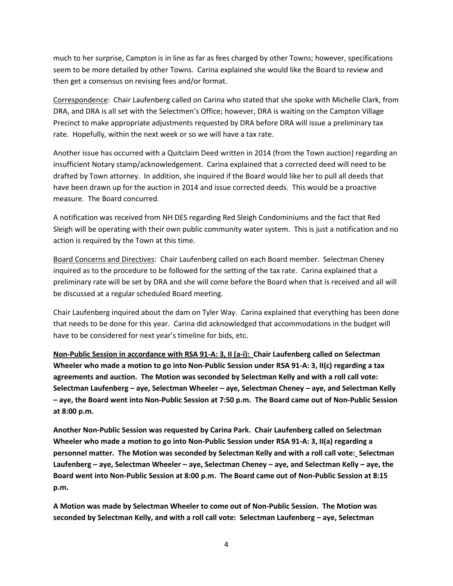much to her surprise, Campton is in line as far as fees charged by other Towns; however, specifications seem to be more detailed by other Towns. Carina explained she would like the Board to review and then get a consensus on revising fees and/or format.

Correspondence: Chair Laufenberg called on Carina who stated that she spoke with Michelle Clark, from DRA, and DRA is all set with the Selectmen's Office; however, DRA is waiting on the Campton Village Precinct to make appropriate adjustments requested by DRA before DRA will issue a preliminary tax rate. Hopefully, within the next week or so we will have a tax rate.

Another issue has occurred with a Quitclaim Deed written in 2014 (from the Town auction) regarding an insufficient Notary stamp/acknowledgement. Carina explained that a corrected deed will need to be drafted by Town attorney. In addition, she inquired if the Board would like her to pull all deeds that have been drawn up for the auction in 2014 and issue corrected deeds. This would be a proactive measure. The Board concurred.

A notification was received from NH DES regarding Red Sleigh Condominiums and the fact that Red Sleigh will be operating with their own public community water system. This is just a notification and no action is required by the Town at this time.

Board Concerns and Directives: Chair Laufenberg called on each Board member. Selectman Cheney inquired as to the procedure to be followed for the setting of the tax rate. Carina explained that a preliminary rate will be set by DRA and she will come before the Board when that is received and all will be discussed at a regular scheduled Board meeting.

Chair Laufenberg inquired about the dam on Tyler Way. Carina explained that everything has been done that needs to be done for this year. Carina did acknowledged that accommodations in the budget will have to be considered for next year's timeline for bids, etc.

**Non-Public Session in accordance with RSA 91-A: 3, II (a-i): Chair Laufenberg called on Selectman Wheeler who made a motion to go into Non-Public Session under RSA 91-A: 3, II(c) regarding a tax agreements and auction. The Motion was seconded by Selectman Kelly and with a roll call vote: Selectman Laufenberg – aye, Selectman Wheeler – aye, Selectman Cheney – aye, and Selectman Kelly – aye, the Board went into Non-Public Session at 7:50 p.m. The Board came out of Non-Public Session at 8:00 p.m.**

**Another Non-Public Session was requested by Carina Park. Chair Laufenberg called on Selectman Wheeler who made a motion to go into Non-Public Session under RSA 91-A: 3, II(a) regarding a personnel matter. The Motion was seconded by Selectman Kelly and with a roll call vote: Selectman Laufenberg – aye, Selectman Wheeler – aye, Selectman Cheney – aye, and Selectman Kelly – aye, the Board went into Non-Public Session at 8:00 p.m. The Board came out of Non-Public Session at 8:15 p.m.** 

**A Motion was made by Selectman Wheeler to come out of Non-Public Session. The Motion was seconded by Selectman Kelly, and with a roll call vote: Selectman Laufenberg – aye, Selectman**